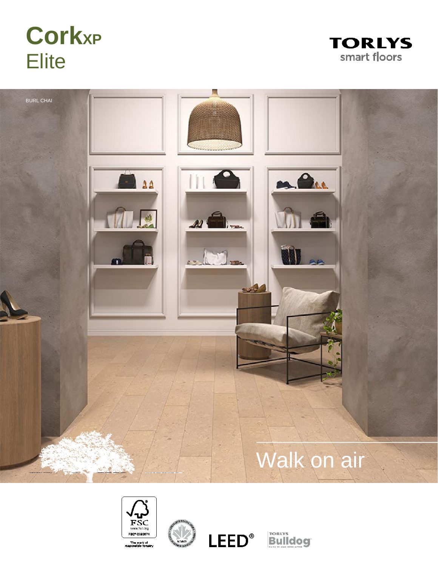# **CorkXP Elite**